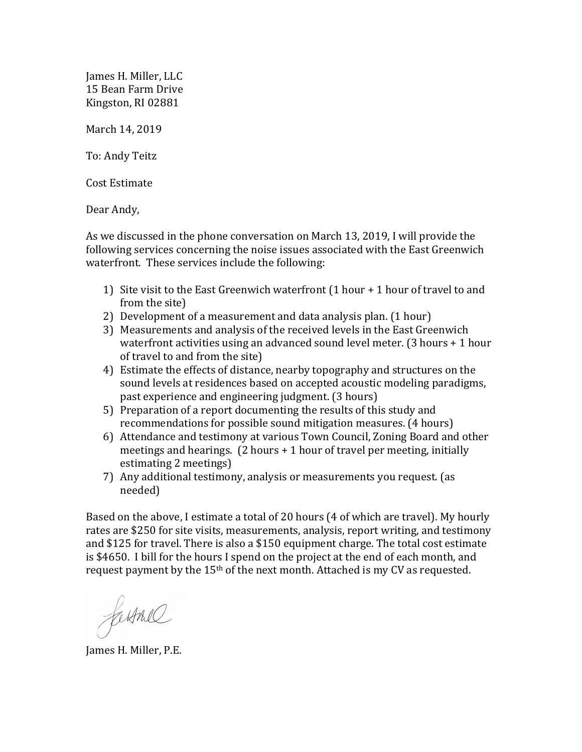James H. Miller, LLC 15 Bean Farm Drive Kingston, RI 02881

March 14, 2019

To: Andy Teitz

Cost Estimate

Dear Andy,

As we discussed in the phone conversation on March 13, 2019, I will provide the following services concerning the noise issues associated with the East Greenwich waterfront. These services include the following:

- 1) Site visit to the East Greenwich waterfront  $(1 hour + 1 hour)$  of travel to and from the site)
- 2) Development of a measurement and data analysis plan. (1 hour)
- 3) Measurements and analysis of the received levels in the East Greenwich waterfront activities using an advanced sound level meter.  $(3 \text{ hours} + 1 \text{ hour})$ of travel to and from the site)
- 4) Estimate the effects of distance, nearby topography and structures on the sound levels at residences based on accepted acoustic modeling paradigms, past experience and engineering judgment. (3 hours)
- 5) Preparation of a report documenting the results of this study and recommendations for possible sound mitigation measures. (4 hours)
- 6) Attendance and testimony at various Town Council, Zoning Board and other meetings and hearings.  $(2 \text{ hours} + 1 \text{ hour of travel per meeting, initially})$ estimating 2 meetings)
- 7) Any additional testimony, analysis or measurements you request. (as needed)

Based on the above, I estimate a total of 20 hours (4 of which are travel). My hourly rates are \$250 for site visits, measurements, analysis, report writing, and testimony and \$125 for travel. There is also a \$150 equipment charge. The total cost estimate is \$4650. I bill for the hours I spend on the project at the end of each month, and request payment by the  $15<sup>th</sup>$  of the next month. Attached is my CV as requested.

farmed

James H. Miller, P.E.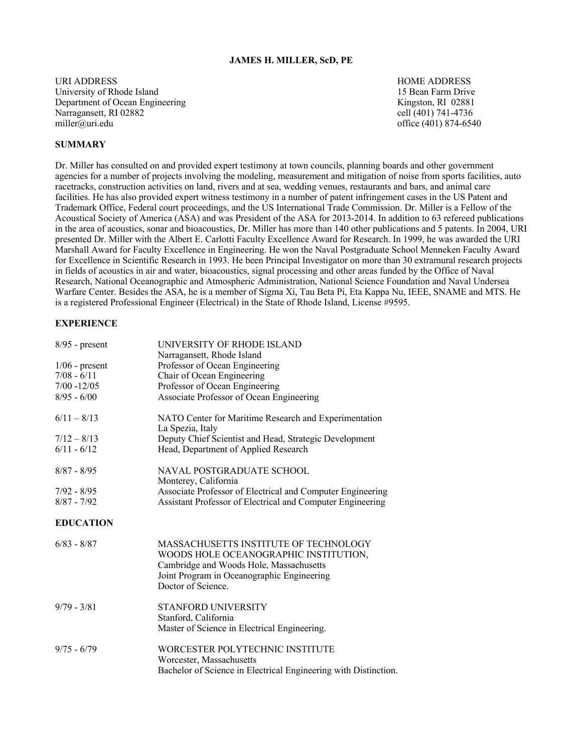#### **JAMES H. MILLER, ScD, PE**

URI ADDRESS HOME ADDRESS University of Rhode Island 15 Bean Farm Drive Department of Ocean Engineering Theorem 2008 Structure Control 2008 Kingston, RI 02881 Narragansett, RI 02882 cell (401) 741-4736 miller@uri.edu office (401) 874-6540

#### **SUMMARY**

Dr. Miller has consulted on and provided expert testimony at town councils, planning boards and other government agencies for a number of projects involving the modeling, measurement and mitigation of noise from sports facilities, auto racetracks, construction activities on land, rivers and at sea, wedding venues, restaurants and bars, and animal care facilities. He has also provided expert witness testimony in a number of patent infringement cases in the US Patent and Trademark Office, Federal court proceedings, and the US International Trade Commission. Dr. Miller is a Fellow of the Acoustical Society of America (ASA) and was President of the ASA for 2013-2014. In addition to 63 refereed publications in the area of acoustics, sonar and bioacoustics, Dr. Miller has more than 140 other publications and 5 patents. In 2004, URI presented Dr. Miller with the Albert E. Carlotti Faculty Excellence Award for Research. In 1999, he was awarded the URI Marshall Award for Faculty Excellence in Engineering. He won the Naval Postgraduate School Menneken Faculty Award for Excellence in Scientific Research in 1993. He been Principal Investigator on more than 30 extramural research projects in fields of acoustics in air and water, bioacoustics, signal processing and other areas funded by the Office of Naval Research, National Oceanographic and Atmospheric Administration, National Science Foundation and Naval Undersea Warfare Center. Besides the ASA, he is a member of Sigma Xi, Tau Beta Pi, Eta Kappa Nu, IEEE, SNAME and MTS. He is a registered Professional Engineer (Electrical) in the State of Rhode Island, License #9595.

# **EXPERIENCE**

| $8/95$ - present | UNIVERSITY OF RHODE ISLAND<br>Narragansett, Rhode Island   |
|------------------|------------------------------------------------------------|
| $1/06$ - present | Professor of Ocean Engineering                             |
| $7/08 - 6/11$    | Chair of Ocean Engineering                                 |
| $7/00 - 12/05$   | Professor of Ocean Engineering                             |
| $8/95 - 6/00$    | Associate Professor of Ocean Engineering                   |
| $6/11 - 8/13$    | NATO Center for Maritime Research and Experimentation      |
|                  | La Spezia, Italy                                           |
| $7/12 - 8/13$    | Deputy Chief Scientist and Head, Strategic Development     |
| $6/11 - 6/12$    | Head, Department of Applied Research                       |
| $8/87 - 8/95$    | NAVAL POSTGRADUATE SCHOOL                                  |
|                  | Monterey, California                                       |
| $7/92 - 8/95$    | Associate Professor of Electrical and Computer Engineering |
| $8/87 - 7/92$    | Assistant Professor of Electrical and Computer Engineering |
|                  |                                                            |
| <b>EDUCATION</b> |                                                            |
| $6/83 - 8/87$    | MASSACHUSETTS INSTITUTE OF TECHNOLOGY                      |
|                  | WOODS HOLE OCEANOGRAPHIC INSTITUTION,                      |
|                  | Cambridge and Woods Hole, Massachusetts                    |
|                  | Joint Program in Oceanographic Engineering                 |
|                  | Doctor of Science.                                         |
| $9/79 - 3/81$    | <b>STANFORD UNIVERSITY</b>                                 |
|                  | Stanford, California                                       |
|                  | Master of Science in Electrical Engineering.               |
| $9/75 - 6/79$    | WORCESTER POLYTECHNIC INSTITUTE                            |
|                  | Worcester, Massachusetts                                   |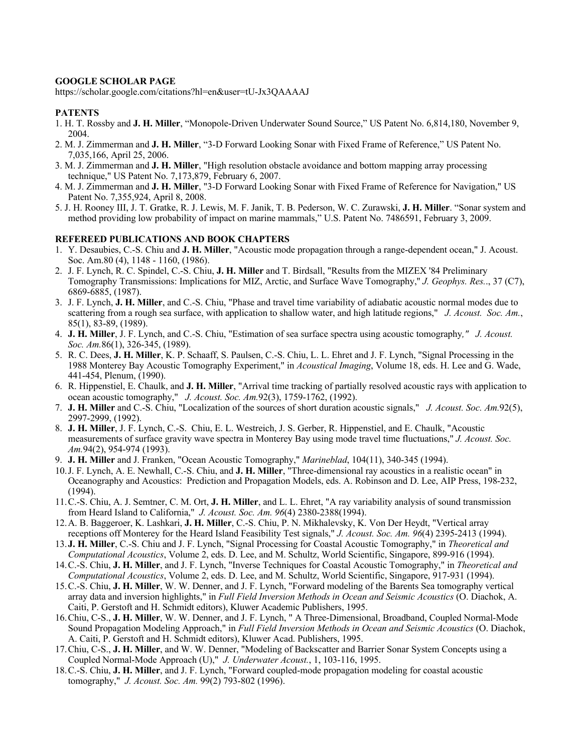## **GOOGLE SCHOLAR PAGE**

https://scholar.google.com/citations?hl=en&user=tU-Jx3QAAAAJ

## **PATENTS**

- 1. H. T. Rossby and **J. H. Miller**, "Monopole-Driven Underwater Sound Source," US Patent No. 6,814,180, November 9, 2004.
- 2. M. J. Zimmerman and **J. H. Miller**, "3-D Forward Looking Sonar with Fixed Frame of Reference," US Patent No. 7,035,166, April 25, 2006.
- 3. M. J. Zimmerman and **J. H. Miller**, "High resolution obstacle avoidance and bottom mapping array processing technique," US Patent No. 7,173,879, February 6, 2007.
- 4. M. J. Zimmerman and **J. H. Miller**, "3-D Forward Looking Sonar with Fixed Frame of Reference for Navigation," US Patent No. 7,355,924, April 8, 2008.
- 5. J. H. Rooney III, J. T. Gratke, R. J. Lewis, M. F. Janik, T. B. Pederson, W. C. Zurawski, **J. H. Miller**. "Sonar system and method providing low probability of impact on marine mammals," U.S. Patent No. 7486591, February 3, 2009.

#### **REFEREED PUBLICATIONS AND BOOK CHAPTERS**

- 1. Y. Desaubies, C.-S. Chiu and **J. H. Miller**, "Acoustic mode propagation through a range-dependent ocean," J. Acoust. Soc. Am.80 (4), 1148 - 1160, (1986).
- 2. J. F. Lynch, R. C. Spindel, C.-S. Chiu, **J. H. Miller** and T. Birdsall, "Results from the MIZEX '84 Preliminary Tomography Transmissions: Implications for MIZ, Arctic, and Surface Wave Tomography,'' *J. Geophys. Res.*., 37 (C7), 6869-6885, (1987).
- 3. J. F. Lynch, **J. H. Miller**, and C.-S. Chiu, "Phase and travel time variability of adiabatic acoustic normal modes due to scattering from a rough sea surface, with application to shallow water, and high latitude regions," *J. Acoust. Soc. Am.*, 85(1), 83-89, (1989).
- 4. **J. H. Miller**, J. F. Lynch, and C.-S. Chiu, "Estimation of sea surface spectra using acoustic tomography*," J. Acoust. Soc. Am.*86(1), 326-345, (1989).
- 5. R. C. Dees, **J. H. Miller**, K. P. Schaaff, S. Paulsen, C.-S. Chiu, L. L. Ehret and J. F. Lynch, "Signal Processing in the 1988 Monterey Bay Acoustic Tomography Experiment," in *Acoustical Imaging*, Volume 18, eds. H. Lee and G. Wade, 441-454, Plenum, (1990).
- 6. R. Hippenstiel, E. Chaulk, and **J. H. Miller**, "Arrival time tracking of partially resolved acoustic rays with application to ocean acoustic tomography," *J. Acoust. Soc. Am.*92(3), 1759-1762, (1992).
- 7. **J. H. Miller** and C.-S. Chiu, "Localization of the sources of short duration acoustic signals," *J. Acoust. Soc. Am.*92(5), 2997-2999, (1992).
- 8. **J. H. Miller**, J. F. Lynch, C.-S. Chiu, E. L. Westreich, J. S. Gerber, R. Hippenstiel, and E. Chaulk, "Acoustic measurements of surface gravity wave spectra in Monterey Bay using mode travel time fluctuations," *J. Acoust. Soc. Am.*94(2), 954-974 (1993).
- 9. **J. H. Miller** and J. Franken, "Ocean Acoustic Tomography," *Marineblad*, 104(11), 340-345 (1994).
- 10.J. F. Lynch, A. E. Newhall, C.-S. Chiu, and **J. H. Miller**, "Three-dimensional ray acoustics in a realistic ocean" in Oceanography and Acoustics: Prediction and Propagation Models, eds. A. Robinson and D. Lee, AIP Press, 198-232, (1994).
- 11.C.-S. Chiu, A. J. Semtner, C. M. Ort, **J. H. Miller**, and L. L. Ehret, "A ray variability analysis of sound transmission from Heard Island to California," *J. Acoust. Soc. Am. 96*(4) 2380-2388(1994).
- 12.A. B. Baggeroer, K. Lashkari, **J. H. Miller**, C.-S. Chiu, P. N. Mikhalevsky, K. Von Der Heydt, "Vertical array receptions off Monterey for the Heard Island Feasibility Test signals," *J. Acoust. Soc. Am. 96*(4) 2395-2413 (1994).
- 13.**J. H. Miller**, C.-S. Chiu and J. F. Lynch, "Signal Processing for Coastal Acoustic Tomography," in *Theoretical and Computational Acoustics*, Volume 2, eds. D. Lee, and M. Schultz, World Scientific, Singapore, 899-916 (1994).
- 14.C.-S. Chiu, **J. H. Miller**, and J. F. Lynch, "Inverse Techniques for Coastal Acoustic Tomography," in *Theoretical and Computational Acoustics*, Volume 2, eds. D. Lee, and M. Schultz, World Scientific, Singapore, 917-931 (1994).
- 15.C.-S. Chiu, **J. H. Miller**, W. W. Denner, and J. F. Lynch, "Forward modeling of the Barents Sea tomography vertical array data and inversion highlights," in *Full Field Inversion Methods in Ocean and Seismic Acoustics* (O. Diachok, A. Caiti, P. Gerstoft and H. Schmidt editors), Kluwer Academic Publishers, 1995.
- 16.Chiu, C-S., **J. H. Miller**, W. W. Denner, and J. F. Lynch, " A Three-Dimensional, Broadband, Coupled Normal-Mode Sound Propagation Modeling Approach," in *Full Field Inversion Methods in Ocean and Seismic Acoustics* (O. Diachok, A. Caiti, P. Gerstoft and H. Schmidt editors), Kluwer Acad. Publishers, 1995.
- 17.Chiu, C-S., **J. H. Miller**, and W. W. Denner, "Modeling of Backscatter and Barrier Sonar System Concepts using a Coupled Normal-Mode Approach (U)," *J. Underwater Acoust.*, 1, 103-116, 1995.
- 18.C.-S. Chiu, **J. H. Miller**, and J. F. Lynch, "Forward coupled-mode propagation modeling for coastal acoustic tomography," *J. Acoust. Soc. Am.* 99(2) 793-802 (1996).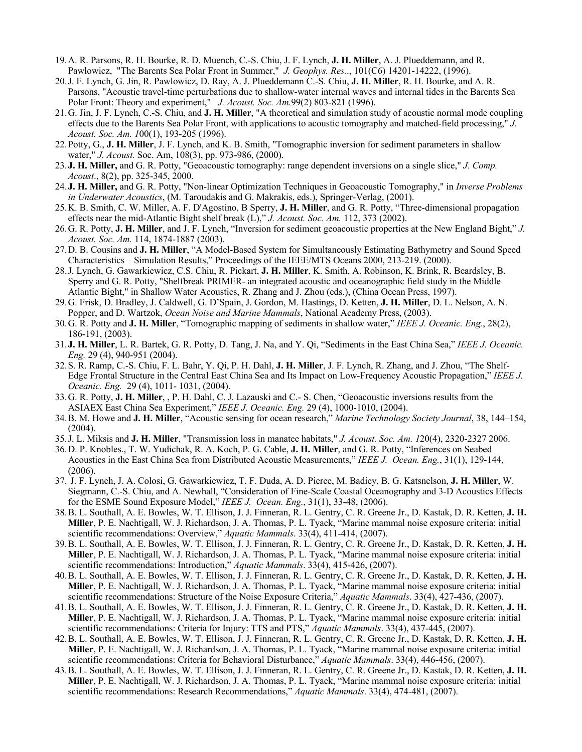- 19.A. R. Parsons, R. H. Bourke, R. D. Muench, C.-S. Chiu, J. F. Lynch, **J. H. Miller**, A. J. Plueddemann, and R. Pawlowicz, "The Barents Sea Polar Front in Summer," *J. Geophys. Res.*., 101(C6) 14201-14222, (1996).
- 20.J. F. Lynch, G. Jin, R. Pawlowicz, D. Ray, A. J. Plueddemann C.-S. Chiu, **J. H. Miller**, R. H. Bourke, and A. R. Parsons, "Acoustic travel-time perturbations due to shallow-water internal waves and internal tides in the Barents Sea Polar Front: Theory and experiment," *J. Acoust. Soc. Am.*99(2) 803-821 (1996).
- 21.G. Jin, J. F. Lynch, C.-S. Chiu, and **J. H. Miller**, "A theoretical and simulation study of acoustic normal mode coupling effects due to the Barents Sea Polar Front, with applications to acoustic tomography and matched-field processing," *J. Acoust. Soc. Am. 1*00(1), 193-205 (1996).
- 22.Potty, G., **J. H. Miller**, J. F. Lynch, and K. B. Smith, "Tomographic inversion for sediment parameters in shallow water," *J. Acoust.* Soc. Am, 108(3), pp. 973-986, (2000).
- 23.**J. H. Miller,** and G. R. Potty, "Geoacoustic tomography: range dependent inversions on a single slice," *J. Comp. Acoust*., 8(2), pp. 325-345, 2000.
- 24.**J. H. Miller,** and G. R. Potty, "Non-linear Optimization Techniques in Geoacoustic Tomography," in *Inverse Problems in Underwater Acoustics*, (M. Taroudakis and G. Makrakis, eds.), Springer-Verlag, (2001).
- 25.K. B. Smith, C. W. Miller, A. F. D'Agostino, B Sperry, **J. H. Miller**, and G. R. Potty, "Three-dimensional propagation effects near the mid-Atlantic Bight shelf break (L)," *J. Acoust. Soc. Am.* 112, 373 (2002).
- 26.G. R. Potty, **J. H. Miller**, and J. F. Lynch, "Inversion for sediment geoacoustic properties at the New England Bight," *J. Acoust. Soc. Am.* 114, 1874-1887 (2003).
- 27.D. B. Cousins and **J. H. Miller**, "A Model-Based System for Simultaneously Estimating Bathymetry and Sound Speed Characteristics – Simulation Results," Proceedings of the IEEE/MTS Oceans 2000, 213-219. (2000).
- 28.J. Lynch, G. Gawarkiewicz, C.S. Chiu, R. Pickart, **J. H. Miller**, K. Smith, A. Robinson, K. Brink, R. Beardsley, B. Sperry and G. R. Potty, "Shelfbreak PRIMER- an integrated acoustic and oceanographic field study in the Middle Atlantic Bight," in Shallow Water Acoustics, R. Zhang and J. Zhou (eds.), (China Ocean Press, 1997).
- 29.G. Frisk, D. Bradley, J. Caldwell, G. D'Spain, J. Gordon, M. Hastings, D. Ketten, **J. H. Miller**, D. L. Nelson, A. N. Popper, and D. Wartzok, *Ocean Noise and Marine Mammals*, National Academy Press, (2003).
- 30.G. R. Potty and **J. H. Miller**, "Tomographic mapping of sediments in shallow water," *IEEE J. Oceanic. Eng.*, 28(2), 186-191, (2003).
- 31.**J. H. Miller**, L. R. Bartek, G. R. Potty, D. Tang, J. Na, and Y. Qi, "Sediments in the East China Sea," *IEEE J. Oceanic. Eng.* 29 (4), 940-951 (2004).
- 32.S. R. Ramp, C.-S. Chiu, F. L. Bahr, Y. Qi, P. H. Dahl, **J. H. Miller**, J. F. Lynch, R. Zhang, and J. Zhou, "The Shelf-Edge Frontal Structure in the Central East China Sea and Its Impact on Low-Frequency Acoustic Propagation," *IEEE J. Oceanic. Eng.* 29 (4), 1011- 1031, (2004).
- 33.G. R. Potty, **J. H. Miller**, , P. H. Dahl, C. J. Lazauski and C.- S. Chen, "Geoacoustic inversions results from the ASIAEX East China Sea Experiment," *IEEE J. Oceanic. Eng.* 29 (4), 1000-1010, (2004).
- 34.B. M. Howe and **J. H. Miller**, "Acoustic sensing for ocean research," *Marine Technology Society Journal*, 38, 144–154, (2004).
- 35.J. L. Miksis and **J. H. Miller**, "Transmission loss in manatee habitats," *J. Acoust. Soc. Am. 1*20(4), 2320-2327 2006.
- 36.D. P. Knobles., T. W. Yudichak, R. A. Koch, P. G. Cable, **J. H. Miller**, and G. R. Potty, "Inferences on Seabed Acoustics in the East China Sea from Distributed Acoustic Measurements," *IEEE J. Ocean. Eng.*, 31(1), 129-144, (2006).
- 37. J. F. Lynch, J. A. Colosi, G. Gawarkiewicz, T. F. Duda, A. D. Pierce, M. Badiey, B. G. Katsnelson, **J. H. Miller**, W. Siegmann, C.-S. Chiu, and A. Newhall, "Consideration of Fine-Scale Coastal Oceanography and 3-D Acoustics Effects for the ESME Sound Exposure Model," *IEEE J. Ocean. Eng.*, 31(1), 33-48, (2006).
- 38.B. L. Southall, A. E. Bowles, W. T. Ellison, J. J. Finneran, R. L. Gentry, C. R. Greene Jr., D. Kastak, D. R. Ketten, **J. H. Miller**, P. E. Nachtigall, W. J. Richardson, J. A. Thomas, P. L. Tyack, "Marine mammal noise exposure criteria: initial scientific recommendations: Overview," *Aquatic Mammals*. 33(4), 411-414, (2007).
- 39.B. L. Southall, A. E. Bowles, W. T. Ellison, J. J. Finneran, R. L. Gentry, C. R. Greene Jr., D. Kastak, D. R. Ketten, **J. H. Miller**, P. E. Nachtigall, W. J. Richardson, J. A. Thomas, P. L. Tyack, "Marine mammal noise exposure criteria: initial scientific recommendations: Introduction," *Aquatic Mammals*. 33(4), 415-426, (2007).
- 40.B. L. Southall, A. E. Bowles, W. T. Ellison, J. J. Finneran, R. L. Gentry, C. R. Greene Jr., D. Kastak, D. R. Ketten, **J. H. Miller**, P. E. Nachtigall, W. J. Richardson, J. A. Thomas, P. L. Tyack, "Marine mammal noise exposure criteria: initial scientific recommendations: Structure of the Noise Exposure Criteria," *Aquatic Mammals*. 33(4), 427-436, (2007).
- 41.B. L. Southall, A. E. Bowles, W. T. Ellison, J. J. Finneran, R. L. Gentry, C. R. Greene Jr., D. Kastak, D. R. Ketten, **J. H. Miller**, P. E. Nachtigall, W. J. Richardson, J. A. Thomas, P. L. Tyack, "Marine mammal noise exposure criteria: initial scientific recommendations: Criteria for Injury: TTS and PTS," *Aquatic Mammals*. 33(4), 437-445, (2007).
- 42.B. L. Southall, A. E. Bowles, W. T. Ellison, J. J. Finneran, R. L. Gentry, C. R. Greene Jr., D. Kastak, D. R. Ketten, **J. H. Miller**, P. E. Nachtigall, W. J. Richardson, J. A. Thomas, P. L. Tyack, "Marine mammal noise exposure criteria: initial scientific recommendations: Criteria for Behavioral Disturbance," *Aquatic Mammals*. 33(4), 446-456, (2007).
- 43.B. L. Southall, A. E. Bowles, W. T. Ellison, J. J. Finneran, R. L. Gentry, C. R. Greene Jr., D. Kastak, D. R. Ketten, **J. H. Miller**, P. E. Nachtigall, W. J. Richardson, J. A. Thomas, P. L. Tyack, "Marine mammal noise exposure criteria: initial scientific recommendations: Research Recommendations," *Aquatic Mammals*. 33(4), 474-481, (2007).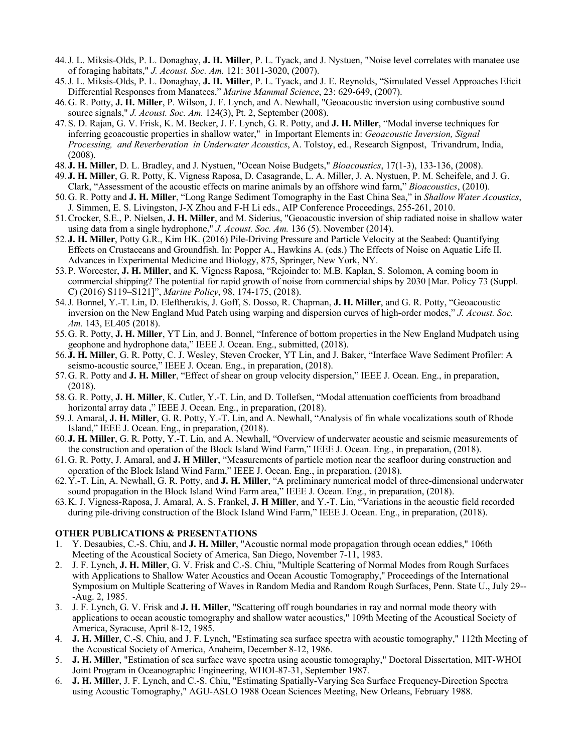- 44.J. L. Miksis-Olds, P. L. Donaghay, **J. H. Miller**, P. L. Tyack, and J. Nystuen, "Noise level correlates with manatee use of foraging habitats," *J. Acoust. Soc. Am.* 121: 3011-3020, (2007).
- 45.J. L. Miksis-Olds, P. L. Donaghay, **J. H. Miller**, P. L. Tyack, and J. E. Reynolds, "Simulated Vessel Approaches Elicit Differential Responses from Manatees," *Marine Mammal Science*, 23: 629-649, (2007).
- 46.G. R. Potty, **J. H. Miller**, P. Wilson, J. F. Lynch, and A. Newhall, "Geoacoustic inversion using combustive sound source signals," *J. Acoust. Soc. Am.* 124(3), Pt. 2, September (2008).
- 47.S. D. Rajan, G. V. Frisk, K. M. Becker, J. F. Lynch, G. R. Potty, and **J. H. Miller**, "Modal inverse techniques for inferring geoacoustic properties in shallow water," in Important Elements in: *Geoacoustic Inversion, Signal Processing, and Reverberation in Underwater Acoustics*, A. Tolstoy, ed., Research Signpost, Trivandrum, India, (2008).
- 48.**J. H. Miller**, D. L. Bradley, and J. Nystuen, "Ocean Noise Budgets," *Bioacoustics*, 17(1-3), 133-136, (2008).
- 49.**J. H. Miller**, G. R. Potty, K. Vigness Raposa, D. Casagrande, L. A. Miller, J. A. Nystuen, P. M. Scheifele, and J. G.
- Clark, "Assessment of the acoustic effects on marine animals by an offshore wind farm," *Bioacoustics*, (2010). 50.G. R. Potty and **J. H. Miller**, "Long Range Sediment Tomography in the East China Sea," in *Shallow Water Acoustics*, J. Simmen, E. S. Livingston, J-X Zhou and F-H Li eds., AIP Conference Proceedings, 255-261, 2010.
- 51.Crocker, S.E., P. Nielsen, **J. H. Miller**, and M. Siderius, "Geoacoustic inversion of ship radiated noise in shallow water using data from a single hydrophone," *J. Acoust. Soc. Am.* 136 (5). November (2014).
- 52.**J. H. Miller**, Potty G.R., Kim HK. (2016) Pile-Driving Pressure and Particle Velocity at the Seabed: Quantifying Effects on Crustaceans and Groundfish. In: Popper A., Hawkins A. (eds.) The Effects of Noise on Aquatic Life II. Advances in Experimental Medicine and Biology, 875, Springer, New York, NY.
- 53.P. Worcester, **J. H. Miller**, and K. Vigness Raposa, "Rejoinder to: M.B. Kaplan, S. Solomon, A coming boom in commercial shipping? The potential for rapid growth of noise from commercial ships by 2030 [Mar. Policy 73 (Suppl. C) (2016) S119–S121]", *Marine Policy*, 98, 174-175, (2018).
- 54.J. Bonnel, Y.-T. Lin, D. Eleftherakis, J. Goff, S. Dosso, R. Chapman, **J. H. Miller**, and G. R. Potty, "Geoacoustic inversion on the New England Mud Patch using warping and dispersion curves of high-order modes," *J. Acoust. Soc. Am.* 143, EL405 (2018).
- 55.G. R. Potty, **J. H. Miller**, YT Lin, and J. Bonnel, "Inference of bottom properties in the New England Mudpatch using geophone and hydrophone data," IEEE J. Ocean. Eng., submitted, (2018).
- 56.**J. H. Miller**, G. R. Potty, C. J. Wesley, Steven Crocker, YT Lin, and J. Baker, "Interface Wave Sediment Profiler: A seismo-acoustic source," IEEE J. Ocean. Eng., in preparation, (2018).
- 57.G. R. Potty and **J. H. Miller**, "Effect of shear on group velocity dispersion," IEEE J. Ocean. Eng., in preparation, (2018).
- 58.G. R. Potty, **J. H. Miller**, K. Cutler, Y.-T. Lin, and D. Tollefsen, "Modal attenuation coefficients from broadband horizontal array data ," IEEE J. Ocean. Eng., in preparation, (2018).
- 59.J. Amaral, **J. H. Miller**, G. R. Potty, Y.-T. Lin, and A. Newhall, "Analysis of fin whale vocalizations south of Rhode Island," IEEE J. Ocean. Eng., in preparation, (2018).
- 60.**J. H. Miller**, G. R. Potty, Y.-T. Lin, and A. Newhall, "Overview of underwater acoustic and seismic measurements of the construction and operation of the Block Island Wind Farm," IEEE J. Ocean. Eng., in preparation, (2018).
- 61.G. R. Potty, J. Amaral, and **J. H Miller**, "Measurements of particle motion near the seafloor during construction and operation of the Block Island Wind Farm," IEEE J. Ocean. Eng., in preparation, (2018).
- 62.Y.-T. Lin, A. Newhall, G. R. Potty, and **J. H. Miller**, "A preliminary numerical model of three-dimensional underwater sound propagation in the Block Island Wind Farm area," IEEE J. Ocean. Eng., in preparation, (2018).
- 63.K. J. Vigness-Raposa, J. Amaral, A. S. Frankel, **J. H Miller**, and Y.-T. Lin, "Variations in the acoustic field recorded during pile-driving construction of the Block Island Wind Farm," IEEE J. Ocean. Eng., in preparation, (2018).

#### **OTHER PUBLICATIONS & PRESENTATIONS**

- 1. Y. Desaubies, C.-S. Chiu, and **J. H. Miller**, "Acoustic normal mode propagation through ocean eddies," 106th Meeting of the Acoustical Society of America, San Diego, November 7-11, 1983.
- 2. J. F. Lynch, **J. H. Miller**, G. V. Frisk and C.-S. Chiu, "Multiple Scattering of Normal Modes from Rough Surfaces with Applications to Shallow Water Acoustics and Ocean Acoustic Tomography," Proceedings of the International Symposium on Multiple Scattering of Waves in Random Media and Random Rough Surfaces, Penn. State U., July 29-- -Aug. 2, 1985.
- 3. J. F. Lynch, G. V. Frisk and **J. H. Miller**, "Scattering off rough boundaries in ray and normal mode theory with applications to ocean acoustic tomography and shallow water acoustics," 109th Meeting of the Acoustical Society of America, Syracuse, April 8-12, 1985.
- 4. **J. H. Miller**, C.-S. Chiu, and J. F. Lynch, "Estimating sea surface spectra with acoustic tomography," 112th Meeting of the Acoustical Society of America, Anaheim, December 8-12, 1986.
- 5. **J. H. Miller**, "Estimation of sea surface wave spectra using acoustic tomography," Doctoral Dissertation, MIT-WHOI Joint Program in Oceanographic Engineering, WHOI-87-31, September 1987.
- 6. **J. H. Miller**, J. F. Lynch, and C.-S. Chiu, "Estimating Spatially-Varying Sea Surface Frequency-Direction Spectra using Acoustic Tomography," AGU-ASLO 1988 Ocean Sciences Meeting, New Orleans, February 1988.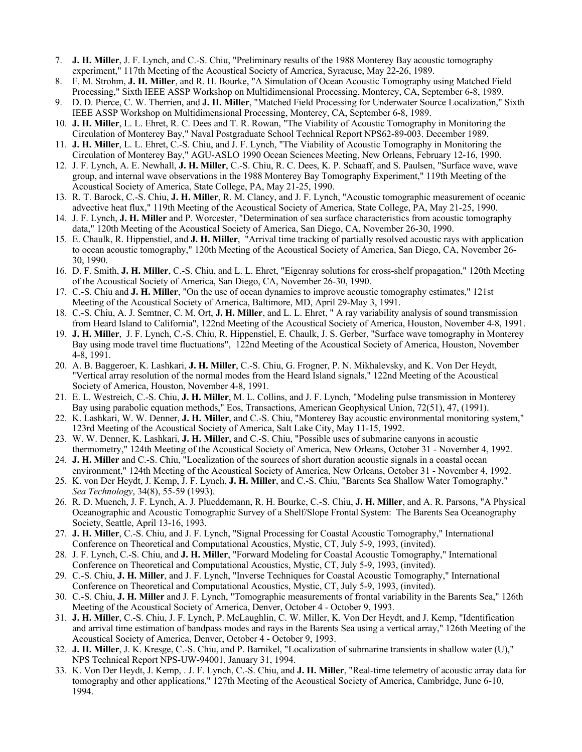- 7. **J. H. Miller**, J. F. Lynch, and C.-S. Chiu, "Preliminary results of the 1988 Monterey Bay acoustic tomography experiment," 117th Meeting of the Acoustical Society of America, Syracuse, May 22-26, 1989.
- 8. F. M. Strohm, **J. H. Miller**, and R. H. Bourke, "A Simulation of Ocean Acoustic Tomography using Matched Field Processing," Sixth IEEE ASSP Workshop on Multidimensional Processing, Monterey, CA, September 6-8, 1989.
- 9. D. D. Pierce, C. W. Therrien, and **J. H. Miller**, "Matched Field Processing for Underwater Source Localization," Sixth IEEE ASSP Workshop on Multidimensional Processing, Monterey, CA, September 6-8, 1989.
- 10. **J. H. Miller**, L. L. Ehret, R. C. Dees and T. R. Rowan, "The Viability of Acoustic Tomography in Monitoring the Circulation of Monterey Bay," Naval Postgraduate School Technical Report NPS62-89-003. December 1989.
- 11. **J. H. Miller**, L. L. Ehret, C.-S. Chiu, and J. F. Lynch, "The Viability of Acoustic Tomography in Monitoring the Circulation of Monterey Bay," AGU-ASLO 1990 Ocean Sciences Meeting, New Orleans, February 12-16, 1990.
- 12. J. F. Lynch, A. E. Newhall, **J. H. Miller**, C.-S. Chiu, R. C. Dees, K. P. Schaaff, and S. Paulsen, "Surface wave, wave group, and internal wave observations in the 1988 Monterey Bay Tomography Experiment," 119th Meeting of the Acoustical Society of America, State College, PA, May 21-25, 1990.
- 13. R. T. Barock, C.-S. Chiu, **J. H. Miller**, R. M. Clancy, and J. F. Lynch, "Acoustic tomographic measurement of oceanic advective heat flux," 119th Meeting of the Acoustical Society of America, State College, PA, May 21-25, 1990.
- 14. J. F. Lynch, **J. H. Miller** and P. Worcester, "Determination of sea surface characteristics from acoustic tomography data," 120th Meeting of the Acoustical Society of America, San Diego, CA, November 26-30, 1990.
- 15. E. Chaulk, R. Hippenstiel, and **J. H. Miller**, "Arrival time tracking of partially resolved acoustic rays with application to ocean acoustic tomography," 120th Meeting of the Acoustical Society of America, San Diego, CA, November 26- 30, 1990.
- 16. D. F. Smith, **J. H. Miller**, C.-S. Chiu, and L. L. Ehret, "Eigenray solutions for cross-shelf propagation," 120th Meeting of the Acoustical Society of America, San Diego, CA, November 26-30, 1990.
- 17. C.-S. Chiu and **J. H. Miller**, "On the use of ocean dynamics to improve acoustic tomography estimates," 121st Meeting of the Acoustical Society of America, Baltimore, MD, April 29-May 3, 1991.
- 18. C.-S. Chiu, A. J. Semtner, C. M. Ort, **J. H. Miller**, and L. L. Ehret, " A ray variability analysis of sound transmission from Heard Island to California", 122nd Meeting of the Acoustical Society of America, Houston, November 4-8, 1991.
- 19. **J. H. Miller**, J. F. Lynch, C.-S. Chiu, R. Hippenstiel, E. Chaulk, J. S. Gerber, "Surface wave tomography in Monterey Bay using mode travel time fluctuations", 122nd Meeting of the Acoustical Society of America, Houston, November 4-8, 1991.
- 20. A. B. Baggeroer, K. Lashkari, **J. H. Miller**, C.-S. Chiu, G. Frogner, P. N. Mikhalevsky, and K. Von Der Heydt, "Vertical array resolution of the normal modes from the Heard Island signals," 122nd Meeting of the Acoustical Society of America, Houston, November 4-8, 1991.
- 21. E. L. Westreich, C.-S. Chiu, **J. H. Miller**, M. L. Collins, and J. F. Lynch, "Modeling pulse transmission in Monterey Bay using parabolic equation methods," Eos, Transactions, American Geophysical Union, 72(51), 47, (1991).
- 22. K. Lashkari, W. W. Denner, **J. H. Miller**, and C.-S. Chiu, "Monterey Bay acoustic environmental monitoring system," 123rd Meeting of the Acoustical Society of America, Salt Lake City, May 11-15, 1992.
- 23. W. W. Denner, K. Lashkari, **J. H. Miller**, and C.-S. Chiu, "Possible uses of submarine canyons in acoustic thermometry," 124th Meeting of the Acoustical Society of America, New Orleans, October 31 - November 4, 1992.
- 24. **J. H. Miller** and C.-S. Chiu, "Localization of the sources of short duration acoustic signals in a coastal ocean environment," 124th Meeting of the Acoustical Society of America, New Orleans, October 31 - November 4, 1992.
- 25. K. von Der Heydt, J. Kemp, J. F. Lynch, **J. H. Miller**, and C.-S. Chiu, "Barents Sea Shallow Water Tomography," *Sea Technology*, 34(8), 55-59 (1993).
- 26. R. D. Muench, J. F. Lynch, A. J. Plueddemann, R. H. Bourke, C.-S. Chiu, **J. H. Miller**, and A. R. Parsons, "A Physical Oceanographic and Acoustic Tomographic Survey of a Shelf/Slope Frontal System: The Barents Sea Oceanography Society, Seattle, April 13-16, 1993.
- 27. **J. H. Miller**, C.-S. Chiu, and J. F. Lynch, "Signal Processing for Coastal Acoustic Tomography," International Conference on Theoretical and Computational Acoustics, Mystic, CT, July 5-9, 1993, (invited).
- 28. J. F. Lynch, C.-S. Chiu, and **J. H. Miller**, "Forward Modeling for Coastal Acoustic Tomography," International Conference on Theoretical and Computational Acoustics, Mystic, CT, July 5-9, 1993, (invited).
- 29. C.-S. Chiu, **J. H. Miller**, and J. F. Lynch, "Inverse Techniques for Coastal Acoustic Tomography," International Conference on Theoretical and Computational Acoustics, Mystic, CT, July 5-9, 1993, (invited).
- 30. C.-S. Chiu, **J. H. Miller** and J. F. Lynch, "Tomographic measurements of frontal variability in the Barents Sea," 126th Meeting of the Acoustical Society of America, Denver, October 4 - October 9, 1993.
- 31. **J. H. Miller**, C.-S. Chiu, J. F. Lynch, P. McLaughlin, C. W. Miller, K. Von Der Heydt, and J. Kemp, "Identification and arrival time estimation of bandpass modes and rays in the Barents Sea using a vertical array," 126th Meeting of the Acoustical Society of America, Denver, October 4 - October 9, 1993.
- 32. **J. H. Miller**, J. K. Kresge, C.-S. Chiu, and P. Barnikel, "Localization of submarine transients in shallow water (U)," NPS Technical Report NPS-UW-94001, January 31, 1994.
- 33. K. Von Der Heydt, J. Kemp, . J. F. Lynch, C.-S. Chiu, and **J. H. Miller**, "Real-time telemetry of acoustic array data for tomography and other applications," 127th Meeting of the Acoustical Society of America, Cambridge, June 6-10, 1994.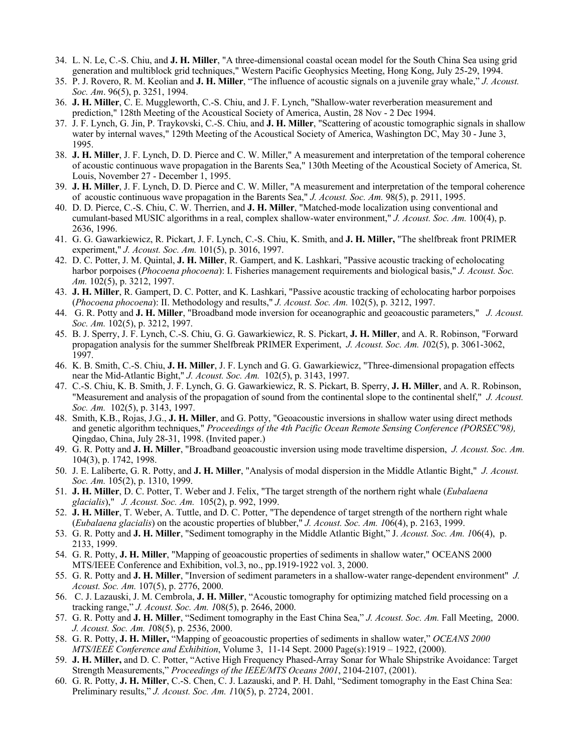- 34. L. N. Le, C.-S. Chiu, and **J. H. Miller**, "A three-dimensional coastal ocean model for the South China Sea using grid generation and multiblock grid techniques," Western Pacific Geophysics Meeting, Hong Kong, July 25-29, 1994.
- 35. P. J. Rovero, R. M. Keolian and **J. H. Miller**, "The influence of acoustic signals on a juvenile gray whale," *J. Acoust. Soc. Am*. 96(5), p. 3251, 1994.
- 36. **J. H. Miller**, C. E. Muggleworth, C.-S. Chiu, and J. F. Lynch, "Shallow-water reverberation measurement and prediction," 128th Meeting of the Acoustical Society of America, Austin, 28 Nov - 2 Dec 1994.
- 37. J. F. Lynch, G. Jin, P. Traykovski, C.-S. Chiu, and **J. H. Miller**, "Scattering of acoustic tomographic signals in shallow water by internal waves," 129th Meeting of the Acoustical Society of America, Washington DC, May 30 - June 3, 1995.
- 38. **J. H. Miller**, J. F. Lynch, D. D. Pierce and C. W. Miller," A measurement and interpretation of the temporal coherence of acoustic continuous wave propagation in the Barents Sea," 130th Meeting of the Acoustical Society of America, St. Louis, November 27 - December 1, 1995.
- 39. **J. H. Miller**, J. F. Lynch, D. D. Pierce and C. W. Miller, "A measurement and interpretation of the temporal coherence of acoustic continuous wave propagation in the Barents Sea," *J. Acoust. Soc. Am.* 98(5), p. 2911, 1995.
- 40. D. D. Pierce, C.-S. Chiu, C. W. Therrien, and **J. H. Miller**, "Matched-mode localization using conventional and cumulant-based MUSIC algorithms in a real, complex shallow-water environment," *J. Acoust. Soc. Am.* 100(4), p. 2636, 1996.
- 41. G. G. Gawarkiewicz, R. Pickart, J. F. Lynch, C.-S. Chiu, K. Smith, and **J. H. Miller,** "The shelfbreak front PRIMER experiment," *J. Acoust. Soc. Am.* 101(5), p. 3016, 1997.
- 42. D. C. Potter, J. M. Quintal, **J. H. Miller**, R. Gampert, and K. Lashkari, "Passive acoustic tracking of echolocating harbor porpoises (*Phocoena phocoena*): I. Fisheries management requirements and biological basis," *J. Acoust. Soc. Am.* 102(5), p. 3212, 1997.
- 43. **J. H. Miller**, R. Gampert, D. C. Potter, and K. Lashkari, "Passive acoustic tracking of echolocating harbor porpoises (*Phocoena phocoena*): II. Methodology and results," *J. Acoust. Soc. Am.* 102(5), p. 3212, 1997.
- 44. G. R. Potty and **J. H. Miller**, "Broadband mode inversion for oceanographic and geoacoustic parameters," *J. Acoust. Soc. Am.* 102(5), p. 3212, 1997.
- 45. B. J. Sperry, J. F. Lynch, C.-S. Chiu, G. G. Gawarkiewicz, R. S. Pickart, **J. H. Miller**, and A. R. Robinson, "Forward propagation analysis for the summer Shelfbreak PRIMER Experiment, *J. Acoust. Soc. Am. 1*02(5), p. 3061-3062, 1997.
- 46. K. B. Smith, C.-S. Chiu, **J. H. Miller**, J. F. Lynch and G. G. Gawarkiewicz, "Three-dimensional propagation effects near the Mid-Atlantic Bight," *J. Acoust. Soc. Am.* 102(5), p. 3143, 1997.
- 47. C.-S. Chiu, K. B. Smith, J. F. Lynch, G. G. Gawarkiewicz, R. S. Pickart, B. Sperry, **J. H. Miller**, and A. R. Robinson, "Measurement and analysis of the propagation of sound from the continental slope to the continental shelf," *J. Acoust. Soc. Am.* 102(5), p. 3143, 1997.
- 48. Smith, K.B., Rojas, J.G., **J. H. Miller**, and G. Potty, "Geoacoustic inversions in shallow water using direct methods and genetic algorithm techniques," *Proceedings of the 4th Pacific Ocean Remote Sensing Conference (PORSEC'98),* Qingdao, China, July 28-31, 1998. (Invited paper.)
- 49. G. R. Potty and **J. H. Miller**, "Broadband geoacoustic inversion using mode traveltime dispersion, *J. Acoust. Soc. Am.* 104(3), p. 1742, 1998.
- 50. J. E. Laliberte, G. R. Potty, and **J. H. Miller**, "Analysis of modal dispersion in the Middle Atlantic Bight," *J. Acoust. Soc. Am.* 105(2), p. 1310, 1999.
- 51. **J. H. Miller**, D. C. Potter, T. Weber and J. Felix, "The target strength of the northern right whale (*Eubalaena glacialis*)," *J. Acoust. Soc. Am.* 105(2), p. 992, 1999.
- 52. **J. H. Miller**, T. Weber, A. Tuttle, and D. C. Potter, "The dependence of target strength of the northern right whale (*Eubalaena glacialis*) on the acoustic properties of blubber," *J. Acoust. Soc. Am. 1*06(4), p. 2163, 1999.
- 53. G. R. Potty and **J. H. Miller**, "Sediment tomography in the Middle Atlantic Bight," J. *Acoust. Soc. Am. 1*06(4), p. 2133, 1999.
- 54. G. R. Potty, **J. H. Miller**, "Mapping of geoacoustic properties of sediments in shallow water," OCEANS 2000 MTS/IEEE Conference and Exhibition, vol.3, no., pp.1919-1922 vol. 3, 2000.
- 55. G. R. Potty and **J. H. Miller**, "Inversion of sediment parameters in a shallow-water range-dependent environment" *J. Acoust. Soc. Am.* 107(5), p. 2776, 2000.
- 56. C. J. Lazauski, J. M. Cembrola, **J. H. Miller**, "Acoustic tomography for optimizing matched field processing on a tracking range," *J. Acoust. Soc. Am. 1*08(5), p. 2646, 2000.
- 57. G. R. Potty and **J. H. Miller**, "Sediment tomography in the East China Sea," *J. Acoust. Soc. Am.* Fall Meeting, 2000. *J. Acoust. Soc. Am. 1*08(5), p. 2536, 2000.
- 58. G. R. Potty, **J. H. Miller,** "Mapping of geoacoustic properties of sediments in shallow water," *OCEANS 2000 MTS/IEEE Conference and Exhibition*, Volume 3, 11-14 Sept. 2000 Page(s):1919 – 1922, (2000).
- 59. **J. H. Miller,** and D. C. Potter, "Active High Frequency Phased-Array Sonar for Whale Shipstrike Avoidance: Target Strength Measurements," *Proceedings of the IEEE/MTS Oceans 2001*, 2104-2107, (2001).
- 60. G. R. Potty, **J. H. Miller**, C.-S. Chen, C. J. Lazauski, and P. H. Dahl, "Sediment tomography in the East China Sea: Preliminary results," *J. Acoust. Soc. Am. 1*10(5), p. 2724, 2001.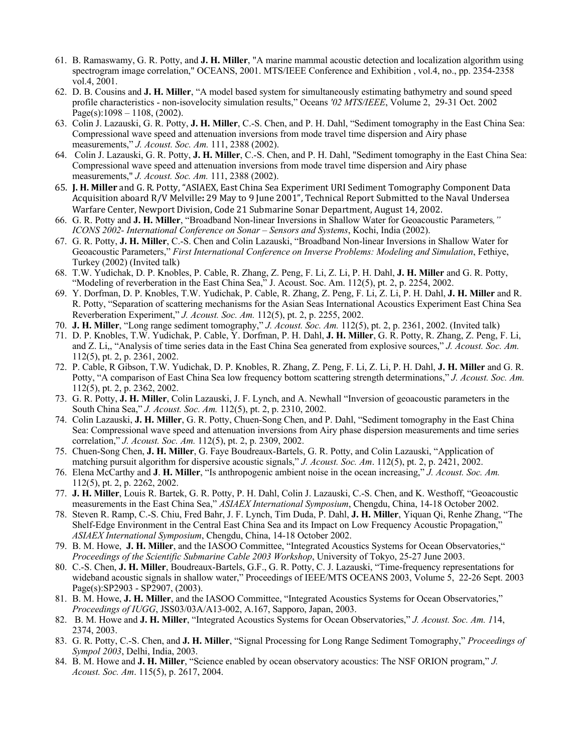- 61. B. Ramaswamy, G. R. Potty, and **J. H. Miller**, "A marine mammal acoustic detection and localization algorithm using spectrogram image correlation," OCEANS, 2001. MTS/IEEE Conference and Exhibition , vol.4, no., pp. 2354-2358 vol.4, 2001.
- 62. D. B. Cousins and **J. H. Miller**, "A model based system for simultaneously estimating bathymetry and sound speed profile characteristics - non-isovelocity simulation results," Oceans *'02 MTS/IEEE*, Volume 2, 29-31 Oct. 2002 Page(s): $1098 - 1108$ , (2002).
- 63. Colin J. Lazauski, G. R. Potty, **J. H. Miller**, C.-S. Chen, and P. H. Dahl, "Sediment tomography in the East China Sea: Compressional wave speed and attenuation inversions from mode travel time dispersion and Airy phase measurements," *J. Acoust. Soc. Am.* 111, 2388 (2002).
- 64. Colin J. Lazauski, G. R. Potty, **J. H. Miller**, C.-S. Chen, and P. H. Dahl, "Sediment tomography in the East China Sea: Compressional wave speed and attenuation inversions from mode travel time dispersion and Airy phase measurements," *J. Acoust. Soc. Am.* 111, 2388 (2002).
- 65. **J. H. Miller** and G. R. Potty, "ASIAEX, East China Sea Experiment URI Sediment Tomography Component Data Acquisition aboard R/V Melville: 29 May to 9 June 2001", Technical Report Submitted to the Naval Undersea Warfare Center, Newport Division, Code 21 Submarine Sonar Department, August 14, 2002.
- 66. G. R. Potty and **J. H. Miller**, "Broadband Non-linear Inversions in Shallow Water for Geoacoustic Parameters*," ICONS 2002- International Conference on Sonar – Sensors and Systems*, Kochi, India (2002).
- 67. G. R. Potty, **J. H. Miller**, C.-S. Chen and Colin Lazauski, "Broadband Non-linear Inversions in Shallow Water for Geoacoustic Parameters," *First International Conference on Inverse Problems: Modeling and Simulation*, Fethiye, Turkey (2002) (Invited talk)
- 68. T.W. Yudichak, D. P. Knobles, P. Cable, R. Zhang, Z. Peng, F. Li, Z. Li, P. H. Dahl, **J. H. Miller** and G. R. Potty, "Modeling of reverberation in the East China Sea," J. Acoust. Soc. Am. 112(5), pt. 2, p. 2254, 2002.
- 69. Y. Dorfman, D. P. Knobles, T.W. Yudichak, P. Cable, R. Zhang, Z. Peng, F. Li, Z. Li, P. H. Dahl, **J. H. Miller** and R. R. Potty, "Separation of scattering mechanisms for the Asian Seas International Acoustics Experiment East China Sea Reverberation Experiment," *J. Acoust. Soc. Am.* 112(5), pt. 2, p. 2255, 2002.
- 70. **J. H. Miller**, "Long range sediment tomography," *J. Acoust. Soc. Am.* 112(5), pt. 2, p. 2361, 2002. (Invited talk)
- 71. D. P. Knobles, T.W. Yudichak, P. Cable, Y. Dorfman, P. H. Dahl, **J. H. Miller**, G. R. Potty, R. Zhang, Z. Peng, F. Li, and Z. Li,, "Analysis of time series data in the East China Sea generated from explosive sources," *J. Acoust. Soc. Am.* 112(5), pt. 2, p. 2361, 2002.
- 72. P. Cable, R Gibson, T.W. Yudichak, D. P. Knobles, R. Zhang, Z. Peng, F. Li, Z. Li, P. H. Dahl, **J. H. Miller** and G. R. Potty, "A comparison of East China Sea low frequency bottom scattering strength determinations," *J. Acoust. Soc. Am.* 112(5), pt. 2, p. 2362, 2002.
- 73. G. R. Potty, **J. H. Miller**, Colin Lazauski, J. F. Lynch, and A. Newhall "Inversion of geoacoustic parameters in the South China Sea," *J. Acoust. Soc. Am.* 112(5), pt. 2, p. 2310, 2002.
- 74. Colin Lazauski, **J. H. Miller**, G. R. Potty, Chuen-Song Chen, and P. Dahl, "Sediment tomography in the East China Sea: Compressional wave speed and attenuation inversions from Airy phase dispersion measurements and time series correlation," *J. Acoust. Soc. Am.* 112(5), pt. 2, p. 2309, 2002.
- 75. Chuen-Song Chen, **J. H. Miller**, G. Faye Boudreaux-Bartels, G. R. Potty, and Colin Lazauski, "Application of matching pursuit algorithm for dispersive acoustic signals," *J. Acoust. Soc. Am*. 112(5), pt. 2, p. 2421, 2002.
- 76. Elena McCarthy and **J**. **H. Miller**, "Is anthropogenic ambient noise in the ocean increasing," *J. Acoust. Soc. Am.* 112(5), pt. 2, p. 2262, 2002.
- 77. **J. H. Miller**, Louis R. Bartek, G. R. Potty, P. H. Dahl, Colin J. Lazauski, C.-S. Chen, and K. Westhoff, "Geoacoustic measurements in the East China Sea," *ASIAEX International Symposium*, Chengdu, China, 14-18 October 2002.
- 78. Steven R. Ramp, C.-S. Chiu, Fred Bahr, J. F. Lynch, Tim Duda, P. Dahl, **J. H. Miller**, Yiquan Qi, Renhe Zhang, "The Shelf-Edge Environment in the Central East China Sea and its Impact on Low Frequency Acoustic Propagation," *ASIAEX International Symposium*, Chengdu, China, 14-18 October 2002.
- 79. B. M. Howe, **J. H. Miller**, and the IASOO Committee, "Integrated Acoustics Systems for Ocean Observatories," *Proceedings of the Scientific Submarine Cable 2003 Workshop*, University of Tokyo, 25-27 June 2003.
- 80. C.-S. Chen, **J. H. Miller**, Boudreaux-Bartels, G.F., G. R. Potty, C. J. Lazauski, "Time-frequency representations for wideband acoustic signals in shallow water," Proceedings of IEEE/MTS OCEANS 2003, Volume 5, 22-26 Sept. 2003 Page(s):SP2903 - SP2907, (2003).
- 81. B. M. Howe, **J. H. Miller**, and the IASOO Committee, "Integrated Acoustics Systems for Ocean Observatories," *Proceedings of IUGG*, JSS03/03A/A13-002, A.167, Sapporo, Japan, 2003.
- 82. B. M. Howe and **J. H. Miller**, "Integrated Acoustics Systems for Ocean Observatories," *J. Acoust. Soc. Am. 1*14, 2374, 2003.
- 83. G. R. Potty, C.-S. Chen, and **J. H. Miller**, "Signal Processing for Long Range Sediment Tomography," *Proceedings of Sympol 2003*, Delhi, India, 2003.
- 84. B. M. Howe and **J. H. Miller**, "Science enabled by ocean observatory acoustics: The NSF ORION program," *J. Acoust. Soc. Am*. 115(5), p. 2617, 2004.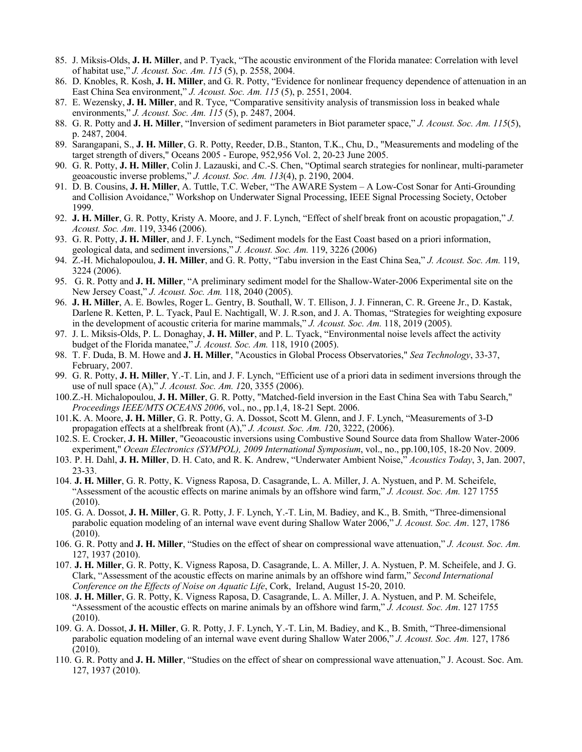- 85. J. Miksis-Olds, **J. H. Miller**, and P. Tyack, "The acoustic environment of the Florida manatee: Correlation with level of habitat use," *J. Acoust. Soc. Am. 115* (5), p. 2558, 2004.
- 86. D. Knobles, R. Kosh, **J. H. Miller**, and G. R. Potty, "Evidence for nonlinear frequency dependence of attenuation in an East China Sea environment," *J. Acoust. Soc. Am. 115* (5), p. 2551, 2004.
- 87. E. Wezensky, **J. H. Miller**, and R. Tyce, "Comparative sensitivity analysis of transmission loss in beaked whale environments," *J. Acoust. Soc. Am. 115* (5), p. 2487, 2004.
- 88. G. R. Potty and **J. H. Miller**, "Inversion of sediment parameters in Biot parameter space," *J. Acoust. Soc. Am. 115*(5), p. 2487, 2004.
- 89. Sarangapani, S., **J. H. Miller**, G. R. Potty, Reeder, D.B., Stanton, T.K., Chu, D., "Measurements and modeling of the target strength of divers," Oceans 2005 - Europe, 952,956 Vol. 2, 20-23 June 2005.
- 90. G. R. Potty, **J. H. Miller**, Colin J. Lazauski, and C.-S. Chen, "Optimal search strategies for nonlinear, multi-parameter geoacoustic inverse problems," *J. Acoust. Soc. Am. 113*(4), p. 2190, 2004.
- 91. D. B. Cousins, **J. H. Miller**, A. Tuttle, T.C. Weber, "The AWARE System A Low-Cost Sonar for Anti-Grounding and Collision Avoidance," Workshop on Underwater Signal Processing, IEEE Signal Processing Society, October 1999.
- 92. **J. H. Miller**, G. R. Potty, Kristy A. Moore, and J. F. Lynch, "Effect of shelf break front on acoustic propagation," *J. Acoust. Soc. Am*. 119, 3346 (2006).
- 93. G. R. Potty, **J. H. Miller**, and J. F. Lynch, "Sediment models for the East Coast based on a priori information, geological data, and sediment inversions," *J. Acoust. Soc. Am.* 119, 3226 (2006)
- 94. Z.-H. Michalopoulou, **J. H. Miller**, and G. R. Potty, "Tabu inversion in the East China Sea," *J. Acoust. Soc. Am.* 119, 3224 (2006).
- 95. G. R. Potty and **J. H. Miller**, "A preliminary sediment model for the Shallow-Water-2006 Experimental site on the New Jersey Coast," *J. Acoust. Soc. Am.* 118, 2040 (2005).
- 96. **J. H. Miller**, A. E. Bowles, Roger L. Gentry, B. Southall, W. T. Ellison, J. J. Finneran, C. R. Greene Jr., D. Kastak, Darlene R. Ketten, P. L. Tyack, Paul E. Nachtigall, W. J. R.son, and J. A. Thomas, "Strategies for weighting exposure in the development of acoustic criteria for marine mammals," *J. Acoust. Soc. Am.* 118, 2019 (2005).
- 97. J. L. Miksis-Olds, P. L. Donaghay, **J. H. Miller**, and P. L. Tyack, "Environmental noise levels affect the activity budget of the Florida manatee," *J. Acoust. Soc. Am.* 118, 1910 (2005).
- 98. T. F. Duda, B. M. Howe and **J. H. Miller**, "Acoustics in Global Process Observatories," *Sea Technology*, 33-37, February, 2007.
- 99. G. R. Potty, **J. H. Miller**, Y.-T. Lin, and J. F. Lynch, "Efficient use of a priori data in sediment inversions through the use of null space (A)," *J. Acoust. Soc. Am. 1*20, 3355 (2006).
- 100.Z.-H. Michalopoulou, **J. H. Miller**, G. R. Potty, "Matched-field inversion in the East China Sea with Tabu Search," *Proceedings IEEE/MTS OCEANS 2006*, vol., no., pp.1,4, 18-21 Sept. 2006.
- 101.K. A. Moore, **J. H. Miller**, G. R. Potty, G. A. Dossot, Scott M. Glenn, and J. F. Lynch, "Measurements of 3-D propagation effects at a shelfbreak front (A)," *J. Acoust. Soc. Am. 1*20, 3222, (2006).
- 102.S. E. Crocker, **J. H. Miller**, "Geoacoustic inversions using Combustive Sound Source data from Shallow Water-2006 experiment," *Ocean Electronics (SYMPOL), 2009 International Symposium*, vol., no., pp.100,105, 18-20 Nov. 2009.
- 103. P. H. Dahl, **J. H. Miller**, D. H. Cato, and R. K. Andrew, "Underwater Ambient Noise," *Acoustics Today*, 3, Jan. 2007, 23-33.
- 104. **J. H. Miller**, G. R. Potty, K. Vigness Raposa, D. Casagrande, L. A. Miller, J. A. Nystuen, and P. M. Scheifele, "Assessment of the acoustic effects on marine animals by an offshore wind farm," *J. Acoust. Soc. Am.* 127 1755 (2010).
- 105. G. A. Dossot, **J. H. Miller**, G. R. Potty, J. F. Lynch, Y.-T. Lin, M. Badiey, and K., B. Smith, "Three-dimensional parabolic equation modeling of an internal wave event during Shallow Water 2006," *J. Acoust. Soc. Am*. 127, 1786 (2010).
- 106. G. R. Potty and **J. H. Miller**, "Studies on the effect of shear on compressional wave attenuation," *J. Acoust. Soc. Am.* 127, 1937 (2010).
- 107. **J. H. Miller**, G. R. Potty, K. Vigness Raposa, D. Casagrande, L. A. Miller, J. A. Nystuen, P. M. Scheifele, and J. G. Clark, "Assessment of the acoustic effects on marine animals by an offshore wind farm," *Second International Conference on the Effects of Noise on Aquatic Life*, Cork, Ireland, August 15-20, 2010.
- 108. **J. H. Miller**, G. R. Potty, K. Vigness Raposa, D. Casagrande, L. A. Miller, J. A. Nystuen, and P. M. Scheifele, "Assessment of the acoustic effects on marine animals by an offshore wind farm," *J. Acoust. Soc. Am*. 127 1755 (2010).
- 109. G. A. Dossot, **J. H. Miller**, G. R. Potty, J. F. Lynch, Y.-T. Lin, M. Badiey, and K., B. Smith, "Three-dimensional parabolic equation modeling of an internal wave event during Shallow Water 2006," *J. Acoust. Soc. Am.* 127, 1786 (2010).
- 110. G. R. Potty and **J. H. Miller**, "Studies on the effect of shear on compressional wave attenuation," J. Acoust. Soc. Am. 127, 1937 (2010).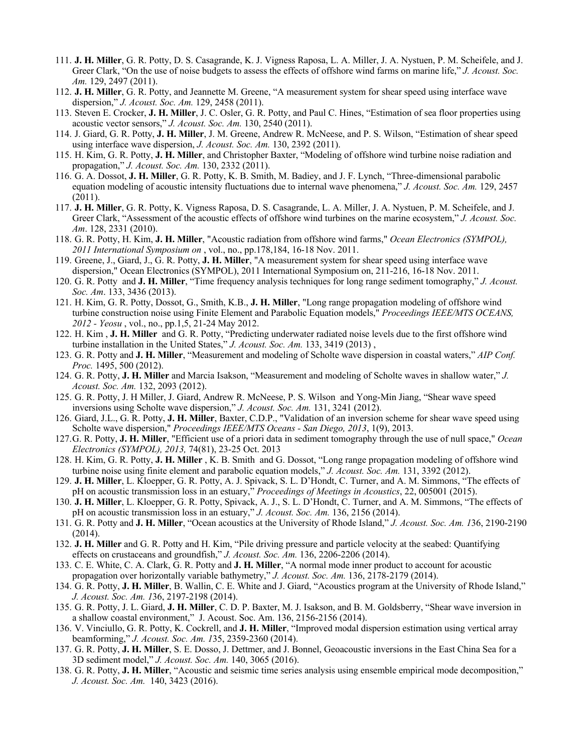- 111. **J. H. Miller**, G. R. Potty, D. S. Casagrande, K. J. Vigness Raposa, L. A. Miller, J. A. Nystuen, P. M. Scheifele, and J. Greer Clark, "On the use of noise budgets to assess the effects of offshore wind farms on marine life," *J. Acoust. Soc. Am.* 129, 2497 (2011).
- 112. **J. H. Miller**, G. R. Potty, and Jeannette M. Greene, "A measurement system for shear speed using interface wave dispersion," *J. Acoust. Soc. Am.* 129, 2458 (2011).
- 113. Steven E. Crocker, **J. H. Miller**, J. C. Osler, G. R. Potty, and Paul C. Hines, "Estimation of sea floor properties using acoustic vector sensors," *J. Acoust. Soc. Am.* 130, 2540 (2011).
- 114. J. Giard, G. R. Potty, **J. H. Miller**, J. M. Greene, Andrew R. McNeese, and P. S. Wilson, "Estimation of shear speed using interface wave dispersion, *J. Acoust. Soc. Am.* 130, 2392 (2011).
- 115. H. Kim, G. R. Potty, **J. H. Miller**, and Christopher Baxter, "Modeling of offshore wind turbine noise radiation and propagation," *J. Acoust. Soc. Am.* 130, 2332 (2011).
- 116. G. A. Dossot, **J. H. Miller**, G. R. Potty, K. B. Smith, M. Badiey, and J. F. Lynch, "Three-dimensional parabolic equation modeling of acoustic intensity fluctuations due to internal wave phenomena," *J. Acoust. Soc. Am.* 129, 2457 (2011).
- 117. **J. H. Miller**, G. R. Potty, K. Vigness Raposa, D. S. Casagrande, L. A. Miller, J. A. Nystuen, P. M. Scheifele, and J. Greer Clark, "Assessment of the acoustic effects of offshore wind turbines on the marine ecosystem," *J. Acoust. Soc. Am*. 128, 2331 (2010).
- 118. G. R. Potty, H. Kim, **J. H. Miller**, "Acoustic radiation from offshore wind farms," *Ocean Electronics (SYMPOL), 2011 International Symposium on* , vol., no., pp.178,184, 16-18 Nov. 2011.
- 119. Greene, J., Giard, J., G. R. Potty, **J. H. Miller**, "A measurement system for shear speed using interface wave dispersion," Ocean Electronics (SYMPOL), 2011 International Symposium on, 211-216, 16-18 Nov. 2011.
- 120. G. R. Potty and **J. H. Miller**, "Time frequency analysis techniques for long range sediment tomography," *J. Acoust. Soc. Am*. 133, 3436 (2013).
- 121. H. Kim, G. R. Potty, Dossot, G., Smith, K.B., **J. H. Miller**, "Long range propagation modeling of offshore wind turbine construction noise using Finite Element and Parabolic Equation models," *Proceedings IEEE/MTS OCEANS, 2012 - Yeosu* , vol., no., pp.1,5, 21-24 May 2012.
- 122. H. Kim , **J. H. Miller** and G. R. Potty, "Predicting underwater radiated noise levels due to the first offshore wind turbine installation in the United States," *J. Acoust. Soc. Am.* 133, 3419 (2013) ,
- 123. G. R. Potty and **J. H. Miller**, "Measurement and modeling of Scholte wave dispersion in coastal waters," *AIP Conf. Proc.* 1495, 500 (2012).
- 124. G. R. Potty, **J. H. Miller** and Marcia Isakson, "Measurement and modeling of Scholte waves in shallow water," *J. Acoust. Soc. Am.* 132, 2093 (2012).
- 125. G. R. Potty, J. H Miller, J. Giard, Andrew R. McNeese, P. S. Wilson and Yong-Min Jiang, "Shear wave speed inversions using Scholte wave dispersion," *J. Acoust. Soc. Am.* 131, 3241 (2012).
- 126. Giard, J.L., G. R. Potty, **J. H. Miller**, Baxter, C.D.P., "Validation of an inversion scheme for shear wave speed using Scholte wave dispersion," *Proceedings IEEE/MTS Oceans - San Diego, 2013*, 1(9), 2013.
- 127.G. R. Potty, **J. H. Miller**, "Efficient use of a priori data in sediment tomography through the use of null space," *Ocean Electronics (SYMPOL), 2013,* 74(81), 23-25 Oct. 2013
- 128. H. Kim, G. R. Potty, **J. H. Miller** , K. B. Smith and G. Dossot, "Long range propagation modeling of offshore wind turbine noise using finite element and parabolic equation models," *J. Acoust. Soc. Am.* 131, 3392 (2012).
- 129. **J. H. Miller**, L. Kloepper, G. R. Potty, A. J. Spivack, S. L. D'Hondt, C. Turner, and A. M. Simmons, "The effects of pH on acoustic transmission loss in an estuary," *Proceedings of Meetings in Acoustics*, 22, 005001 (2015).
- 130. **J. H. Miller**, L. Kloepper, G. R. Potty, Spivack, A. J., S. L. D'Hondt, C. Turner, and A. M. Simmons, "The effects of pH on acoustic transmission loss in an estuary," *J. Acoust. Soc. Am.* 136, 2156 (2014).
- 131. G. R. Potty and **J. H. Miller**, "Ocean acoustics at the University of Rhode Island," *J. Acoust. Soc. Am. 1*36, 2190-2190 (2014).
- 132. **J. H. Miller** and G. R. Potty and H. Kim, "Pile driving pressure and particle velocity at the seabed: Quantifying effects on crustaceans and groundfish," *J. Acoust. Soc. Am.* 136, 2206-2206 (2014).
- 133. C. E. White, C. A. Clark, G. R. Potty and **J. H. Miller**, "A normal mode inner product to account for acoustic propagation over horizontally variable bathymetry," *J. Acoust. Soc. Am.* 136, 2178-2179 (2014).
- 134. G. R. Potty, **J. H. Miller**, B. Wallin, C. E. White and J. Giard, "Acoustics program at the University of Rhode Island," *J. Acoust. Soc. Am. 1*36, 2197-2198 (2014).
- 135. G. R. Potty, J. L. Giard, **J. H. Miller**, C. D. P. Baxter, M. J. Isakson, and B. M. Goldsberry, "Shear wave inversion in a shallow coastal environment," J. Acoust. Soc. Am. 136, 2156-2156 (2014).
- 136. V. Vinciullo, G. R. Potty, K. Cockrell, and **J. H. Miller**, "Improved modal dispersion estimation using vertical array beamforming," *J. Acoust. Soc. Am. 1*35, 2359-2360 (2014).
- 137. G. R. Potty, **J. H. Miller**, S. E. Dosso, J. Dettmer, and J. Bonnel, Geoacoustic inversions in the East China Sea for a 3D sediment model," *J. Acoust. Soc. Am.* 140, 3065 (2016).
- 138. G. R. Potty, **J. H. Miller**, "Acoustic and seismic time series analysis using ensemble empirical mode decomposition," *J. Acoust. Soc. Am.* 140, 3423 (2016).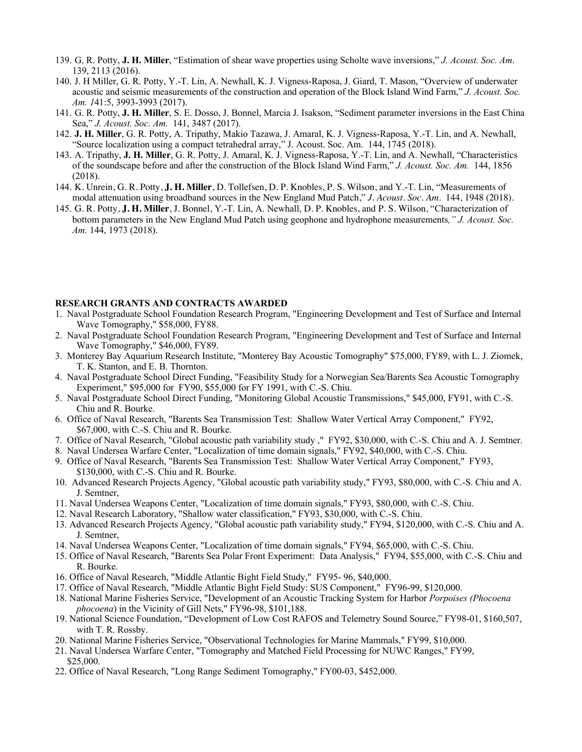- 139. G. R. Potty, **J. H. Miller**, "Estimation of shear wave properties using Scholte wave inversions," *J. Acoust. Soc. Am*. 139, 2113 (2016).
- 140. J. H Miller, G. R. Potty, Y.-T. Lin, A. Newhall, K. J. Vigness-Raposa, J. Giard, T. Mason, "Overview of underwater acoustic and seismic measurements of the construction and operation of the Block Island Wind Farm," *J. Acoust. Soc. Am. 1*41:5, 3993-3993 (2017).
- 141. G. R. Potty, **J. H. Miller**, S. E. Dosso, J. Bonnel, Marcia J. Isakson, "Sediment parameter inversions in the East China Sea," *J. Acoust. Soc. Am.* 141, 3487 (2017).
- 142. **J. H. Miller**, G. R. Potty, A. Tripathy, Makio Tazawa, J. Amaral, K. J. Vigness-Raposa, Y.-T. Lin, and A. Newhall, "Source localization using a compact tetrahedral array," J. Acoust. Soc. Am. 144, 1745 (2018).
- 143. A. Tripathy, **J. H. Miller**, G. R. Potty, J. Amaral, K. J. Vigness-Raposa, Y.-T. Lin, and A. Newhall, "Characteristics of the soundscape before and after the construction of the Block Island Wind Farm," *J. Acoust. Soc. Am.* 144, 1856 (2018).
- 144. K. Unrein, G. R. Potty, **J. H. Miller**, D. Tollefsen, D. P. Knobles, P. S. Wilson, and Y.-T. Lin, "Measurements of modal attenuation using broadband sources in the New England Mud Patch," *J. Acoust. Soc. Am.* 144, 1948 (2018).
- 145. G. R. Potty, **J. H. Miller**, J. Bonnel, Y.-T. Lin, A. Newhall, D. P. Knobles, and P. S. Wilson, "Characterization of bottom parameters in the New England Mud Patch using geophone and hydrophone measurements*," J. Acoust. Soc. Am.* 144, 1973 (2018).

## **RESEARCH GRANTS AND CONTRACTS AWARDED**

- 1. Naval Postgraduate School Foundation Research Program, "Engineering Development and Test of Surface and Internal Wave Tomography," \$58,000, FY88.
- 2. Naval Postgraduate School Foundation Research Program, "Engineering Development and Test of Surface and Internal Wave Tomography," \$46,000, FY89.
- 3. Monterey Bay Aquarium Research Institute, "Monterey Bay Acoustic Tomography" \$75,000, FY89, with L. J. Ziomek, T. K. Stanton, and E. B. Thornton.
- 4. Naval Postgraduate School Direct Funding, "Feasibility Study for a Norwegian Sea/Barents Sea Acoustic Tomography Experiment," \$95,000 for FY90, \$55,000 for FY 1991, with C.-S. Chiu.
- 5. Naval Postgraduate School Direct Funding, "Monitoring Global Acoustic Transmissions," \$45,000, FY91, with C.-S. Chiu and R. Bourke.
- 6. Office of Naval Research, "Barents Sea Transmission Test: Shallow Water Vertical Array Component," FY92, \$67,000, with C.-S. Chiu and R. Bourke.
- 7. Office of Naval Research, "Global acoustic path variability study ," FY92, \$30,000, with C.-S. Chiu and A. J. Semtner.
- 8. Naval Undersea Warfare Center, "Localization of time domain signals," FY92, \$40,000, with C.-S. Chiu.
- 9. Office of Naval Research, "Barents Sea Transmission Test: Shallow Water Vertical Array Component," FY93, \$130,000, with C.-S. Chiu and R. Bourke.
- 10. Advanced Research Projects Agency, "Global acoustic path variability study," FY93, \$80,000, with C.-S. Chiu and A. J. Semtner,
- 11. Naval Undersea Weapons Center, "Localization of time domain signals," FY93, \$80,000, with C.-S. Chiu.
- 12. Naval Research Laboratory, "Shallow water classification," FY93, \$30,000, with C.-S. Chiu.
- 13. Advanced Research Projects Agency, "Global acoustic path variability study," FY94, \$120,000, with C.-S. Chiu and A. J. Semtner,
- 14. Naval Undersea Weapons Center, "Localization of time domain signals," FY94, \$65,000, with C.-S. Chiu.
- 15. Office of Naval Research, "Barents Sea Polar Front Experiment: Data Analysis," FY94, \$55,000, with C.-S. Chiu and R. Bourke.
- 16. Office of Naval Research, "Middle Atlantic Bight Field Study," FY95- 96, \$40,000.
- 17. Office of Naval Research, "Middle Atlantic Bight Field Study: SUS Component," FY96-99, \$120,000.
- 18. National Marine Fisheries Service, "Development of an Acoustic Tracking System for Harbor *Porpoises (Phocoena phocoena*) in the Vicinity of Gill Nets," FY96-98, \$101,188.
- 19. National Science Foundation, "Development of Low Cost RAFOS and Telemetry Sound Source," FY98-01, \$160,507, with T. R. Rossby.
- 20. National Marine Fisheries Service, "Observational Technologies for Marine Mammals," FY99, \$10,000.
- 21. Naval Undersea Warfare Center, "Tomography and Matched Field Processing for NUWC Ranges," FY99, \$25,000.
- 22. Office of Naval Research, "Long Range Sediment Tomography," FY00-03, \$452,000.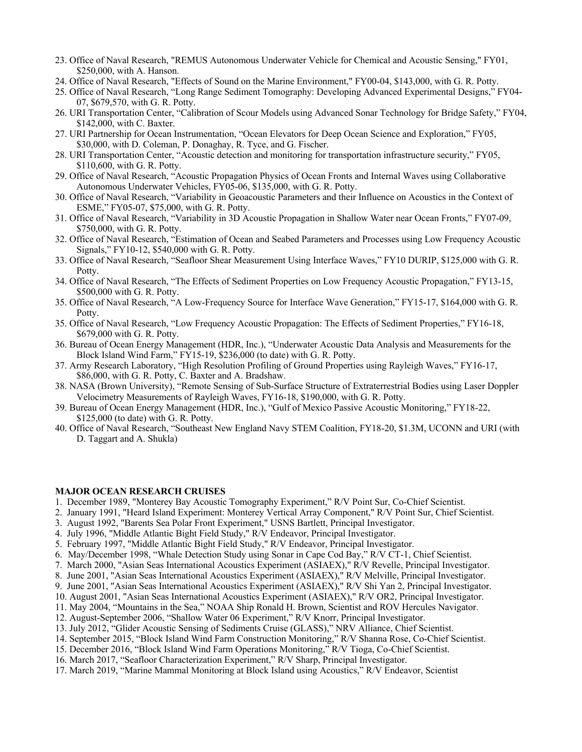- 23. Office of Naval Research, "REMUS Autonomous Underwater Vehicle for Chemical and Acoustic Sensing," FY01, \$250,000, with A. Hanson.
- 24. Office of Naval Research, "Effects of Sound on the Marine Environment," FY00-04, \$143,000, with G. R. Potty.
- 25. Office of Naval Research, "Long Range Sediment Tomography: Developing Advanced Experimental Designs," FY04- 07, \$679,570, with G. R. Potty.
- 26. URI Transportation Center, "Calibration of Scour Models using Advanced Sonar Technology for Bridge Safety," FY04, \$142,000, with C. Baxter.
- 27. URI Partnership for Ocean Instrumentation, "Ocean Elevators for Deep Ocean Science and Exploration," FY05, \$30,000, with D. Coleman, P. Donaghay, R. Tyce, and G. Fischer.
- 28. URI Transportation Center, "Acoustic detection and monitoring for transportation infrastructure security," FY05, \$110,600, with G. R. Potty.
- 29. Office of Naval Research, "Acoustic Propagation Physics of Ocean Fronts and Internal Waves using Collaborative Autonomous Underwater Vehicles, FY05-06, \$135,000, with G. R. Potty.
- 30. Office of Naval Research, "Variability in Geoacoustic Parameters and their Influence on Acoustics in the Context of ESME," FY05-07, \$75,000, with G. R. Potty.
- 31. Office of Naval Research, "Variability in 3D Acoustic Propagation in Shallow Water near Ocean Fronts," FY07-09, \$750,000, with G. R. Potty.
- 32. Office of Naval Research, "Estimation of Ocean and Seabed Parameters and Processes using Low Frequency Acoustic Signals," FY10-12, \$540,000 with G. R. Potty.
- 33. Office of Naval Research, "Seafloor Shear Measurement Using Interface Waves," FY10 DURIP, \$125,000 with G. R. Potty.
- 34. Office of Naval Research, "The Effects of Sediment Properties on Low Frequency Acoustic Propagation," FY13-15, \$500,000 with G. R. Potty.
- 35. Office of Naval Research, "A Low-Frequency Source for Interface Wave Generation," FY15-17, \$164,000 with G. R. Potty.
- 35. Office of Naval Research, "Low Frequency Acoustic Propagation: The Effects of Sediment Properties," FY16-18, \$679,000 with G. R. Potty.
- 36. Bureau of Ocean Energy Management (HDR, Inc.), "Underwater Acoustic Data Analysis and Measurements for the Block Island Wind Farm," FY15-19, \$236,000 (to date) with G. R. Potty.
- 37. Army Research Laboratory, "High Resolution Profiling of Ground Properties using Rayleigh Waves," FY16-17, \$86,000, with G. R. Potty, C. Baxter and A. Bradshaw.
- 38. NASA (Brown University), "Remote Sensing of Sub-Surface Structure of Extraterrestrial Bodies using Laser Doppler Velocimetry Measurements of Rayleigh Waves, FY16-18, \$190,000, with G. R. Potty.
- 39. Bureau of Ocean Energy Management (HDR, Inc.), "Gulf of Mexico Passive Acoustic Monitoring," FY18-22, \$125,000 (to date) with G. R. Potty.
- 40. Office of Naval Research, "Southeast New England Navy STEM Coalition, FY18-20, \$1.3M, UCONN and URI (with D. Taggart and A. Shukla)

## **MAJOR OCEAN RESEARCH CRUISES**

- 1. December 1989, "Monterey Bay Acoustic Tomography Experiment," R/V Point Sur, Co-Chief Scientist.
- 2. January 1991, "Heard Island Experiment: Monterey Vertical Array Component," R/V Point Sur, Chief Scientist.
- 3. August 1992, "Barents Sea Polar Front Experiment," USNS Bartlett, Principal Investigator.
- 4. July 1996, "Middle Atlantic Bight Field Study," R/V Endeavor, Principal Investigator.
- 5. February 1997, "Middle Atlantic Bight Field Study," R/V Endeavor, Principal Investigator.
- 6. May/December 1998, "Whale Detection Study using Sonar in Cape Cod Bay," R/V CT-1, Chief Scientist.
- 7. March 2000, "Asian Seas International Acoustics Experiment (ASIAEX)," R/V Revelle, Principal Investigator.
- 8. June 2001, "Asian Seas International Acoustics Experiment (ASIAEX)," R/V Melville, Principal Investigator.
- 9. June 2001, "Asian Seas International Acoustics Experiment (ASIAEX)," R/V Shi Yan 2, Principal Investigator.
- 10. August 2001, "Asian Seas International Acoustics Experiment (ASIAEX)," R/V OR2, Principal Investigator.
- 11. May 2004, "Mountains in the Sea," NOAA Ship Ronald H. Brown, Scientist and ROV Hercules Navigator.
- 12. August-September 2006, "Shallow Water 06 Experiment," R/V Knorr, Principal Investigator.
- 13. July 2012, "Glider Acoustic Sensing of Sediments Cruise (GLASS)," NRV Alliance, Chief Scientist.
- 14. September 2015, "Block Island Wind Farm Construction Monitoring," R/V Shanna Rose, Co-Chief Scientist.
- 15. December 2016, "Block Island Wind Farm Operations Monitoring," R/V Tioga, Co-Chief Scientist.
- 16. March 2017, "Seafloor Characterization Experiment," R/V Sharp, Principal Investigator.
- 17. March 2019, "Marine Mammal Monitoring at Block Island using Acoustics," R/V Endeavor, Scientist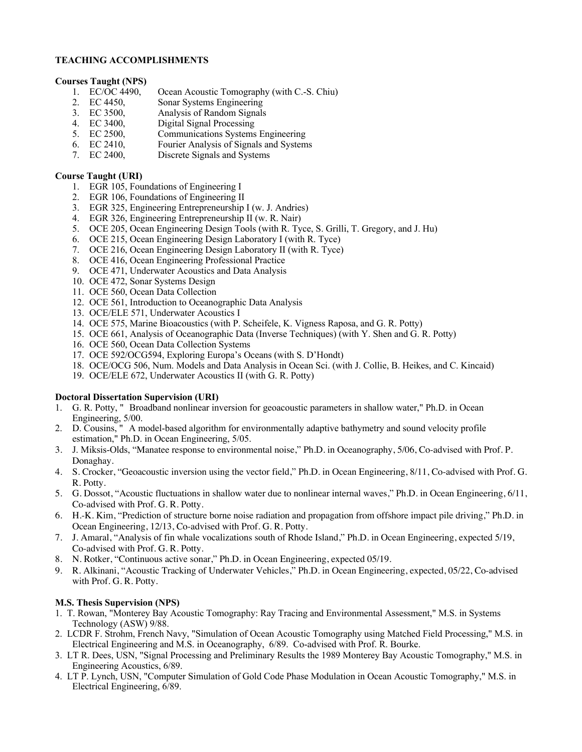# **TEACHING ACCOMPLISHMENTS**

# **Courses Taught (NPS)**

- Ocean Acoustic Tomography (with C.-S. Chiu)
- 2. EC 4450, Sonar Systems Engineering
- 3. EC 3500, Analysis of Random Signals<br>4. EC 3400, Digital Signal Processing
- 4. EC 3400, Digital Signal Processing<br>5. EC 2500, Communications Systems
- 5. EC 2500, Communications Systems Engineering<br>6. EC 2410, Fourier Analysis of Signals and System
- 6. EC 2410, Fourier Analysis of Signals and Systems<br>7. EC 2400, Discrete Signals and Systems
- Discrete Signals and Systems

## **Course Taught (URI)**

- 1. EGR 105, Foundations of Engineering I
- 2. EGR 106, Foundations of Engineering II
- 3. EGR 325, Engineering Entrepreneurship I (w. J. Andries)
- 4. EGR 326, Engineering Entrepreneurship II (w. R. Nair)
- 5. OCE 205, Ocean Engineering Design Tools (with R. Tyce, S. Grilli, T. Gregory, and J. Hu)
- 6. OCE 215, Ocean Engineering Design Laboratory I (with R. Tyce)
- 7. OCE 216, Ocean Engineering Design Laboratory II (with R. Tyce)
- 8. OCE 416, Ocean Engineering Professional Practice
- 9. OCE 471, Underwater Acoustics and Data Analysis
- 10. OCE 472, Sonar Systems Design
- 11. OCE 560, Ocean Data Collection
- 12. OCE 561, Introduction to Oceanographic Data Analysis
- 13. OCE/ELE 571, Underwater Acoustics I
- 14. OCE 575, Marine Bioacoustics (with P. Scheifele, K. Vigness Raposa, and G. R. Potty)
- 15. OCE 661, Analysis of Oceanographic Data (Inverse Techniques) (with Y. Shen and G. R. Potty)
- 16. OCE 560, Ocean Data Collection Systems
- 17. OCE 592/OCG594, Exploring Europa's Oceans (with S. D'Hondt)
- 18. OCE/OCG 506, Num. Models and Data Analysis in Ocean Sci. (with J. Collie, B. Heikes, and C. Kincaid)
- 19. OCE/ELE 672, Underwater Acoustics II (with G. R. Potty)

# **Doctoral Dissertation Supervision (URI)**

- 1. G. R. Potty, " Broadband nonlinear inversion for geoacoustic parameters in shallow water," Ph.D. in Ocean Engineering, 5/00.
- 2. D. Cousins, " A model-based algorithm for environmentally adaptive bathymetry and sound velocity profile estimation," Ph.D. in Ocean Engineering, 5/05.
- 3. J. Miksis-Olds, "Manatee response to environmental noise," Ph.D. in Oceanography, 5/06, Co-advised with Prof. P. Donaghay.
- 4. S. Crocker, "Geoacoustic inversion using the vector field," Ph.D. in Ocean Engineering, 8/11, Co-advised with Prof. G. R. Potty.
- 5. G. Dossot, "Acoustic fluctuations in shallow water due to nonlinear internal waves," Ph.D. in Ocean Engineering, 6/11, Co-advised with Prof. G. R. Potty.
- 6. H.-K. Kim, "Prediction of structure borne noise radiation and propagation from offshore impact pile driving," Ph.D. in Ocean Engineering, 12/13, Co-advised with Prof. G. R. Potty.
- 7. J. Amaral, "Analysis of fin whale vocalizations south of Rhode Island," Ph.D. in Ocean Engineering, expected 5/19, Co-advised with Prof. G. R. Potty.
- 8. N. Rotker, "Continuous active sonar," Ph.D. in Ocean Engineering, expected 05/19.
- 9. R. Alkinani, "Acoustic Tracking of Underwater Vehicles," Ph.D. in Ocean Engineering, expected, 05/22, Co-advised with Prof. G. R. Potty.

# **M.S. Thesis Supervision (NPS)**

- 1. T. Rowan, "Monterey Bay Acoustic Tomography: Ray Tracing and Environmental Assessment," M.S. in Systems Technology (ASW) 9/88.
- 2. LCDR F. Strohm, French Navy, "Simulation of Ocean Acoustic Tomography using Matched Field Processing," M.S. in Electrical Engineering and M.S. in Oceanography, 6/89. Co-advised with Prof. R. Bourke.
- 3. LT R. Dees, USN, "Signal Processing and Preliminary Results the 1989 Monterey Bay Acoustic Tomography," M.S. in Engineering Acoustics, 6/89.
- 4. LT P. Lynch, USN, "Computer Simulation of Gold Code Phase Modulation in Ocean Acoustic Tomography," M.S. in Electrical Engineering, 6/89.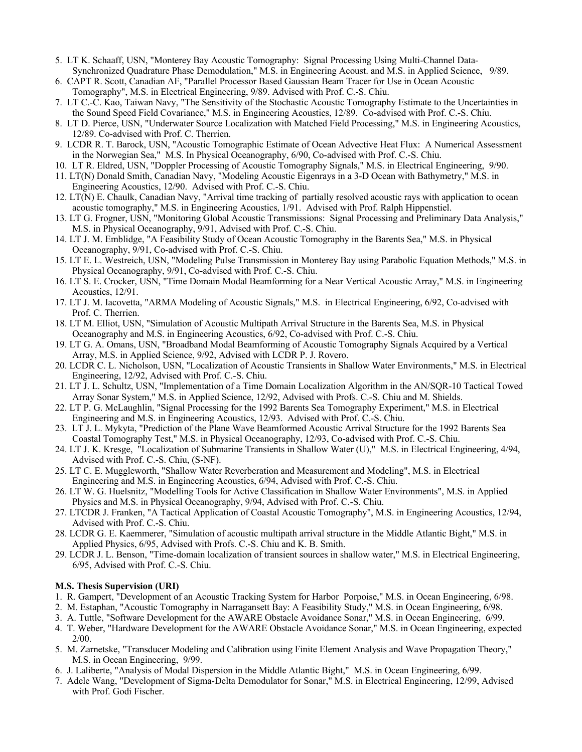- 5. LT K. Schaaff, USN, "Monterey Bay Acoustic Tomography: Signal Processing Using Multi-Channel Data-Synchronized Quadrature Phase Demodulation," M.S. in Engineering Acoust. and M.S. in Applied Science, 9/89.
- 6. CAPT R. Scott, Canadian AF, "Parallel Processor Based Gaussian Beam Tracer for Use in Ocean Acoustic Tomography", M.S. in Electrical Engineering, 9/89. Advised with Prof. C.-S. Chiu.
- 7. LT C.-C. Kao, Taiwan Navy, "The Sensitivity of the Stochastic Acoustic Tomography Estimate to the Uncertainties in the Sound Speed Field Covariance," M.S. in Engineering Acoustics, 12/89. Co-advised with Prof. C.-S. Chiu.
- 8. LT D. Pierce, USN, "Underwater Source Localization with Matched Field Processing," M.S. in Engineering Acoustics, 12/89. Co-advised with Prof. C. Therrien.
- 9. LCDR R. T. Barock, USN, "Acoustic Tomographic Estimate of Ocean Advective Heat Flux: A Numerical Assessment in the Norwegian Sea," M.S. In Physical Oceanography, 6/90, Co-advised with Prof. C.-S. Chiu.
- 10. LT R. Eldred, USN, "Doppler Processing of Acoustic Tomography Signals," M.S. in Electrical Engineering, 9/90.
- 11. LT(N) Donald Smith, Canadian Navy, "Modeling Acoustic Eigenrays in a 3-D Ocean with Bathymetry," M.S. in Engineering Acoustics, 12/90. Advised with Prof. C.-S. Chiu.
- 12. LT(N) E. Chaulk, Canadian Navy, "Arrival time tracking of partially resolved acoustic rays with application to ocean acoustic tomography," M.S. in Engineering Acoustics, 1/91. Advised with Prof. Ralph Hippenstiel.
- 13. LT G. Frogner, USN, "Monitoring Global Acoustic Transmissions: Signal Processing and Preliminary Data Analysis," M.S. in Physical Oceanography, 9/91, Advised with Prof. C.-S. Chiu.
- 14. LT J. M. Emblidge, "A Feasibility Study of Ocean Acoustic Tomography in the Barents Sea," M.S. in Physical Oceanography, 9/91, Co-advised with Prof. C.-S. Chiu.
- 15. LT E. L. Westreich, USN, "Modeling Pulse Transmission in Monterey Bay using Parabolic Equation Methods," M.S. in Physical Oceanography, 9/91, Co-advised with Prof. C.-S. Chiu.
- 16. LT S. E. Crocker, USN, "Time Domain Modal Beamforming for a Near Vertical Acoustic Array," M.S. in Engineering Acoustics, 12/91.
- 17. LT J. M. Iacovetta, "ARMA Modeling of Acoustic Signals," M.S. in Electrical Engineering, 6/92, Co-advised with Prof. C. Therrien.
- 18. LT M. Elliot, USN, "Simulation of Acoustic Multipath Arrival Structure in the Barents Sea, M.S. in Physical Oceanography and M.S. in Engineering Acoustics, 6/92, Co-advised with Prof. C.-S. Chiu.
- 19. LT G. A. Omans, USN, "Broadband Modal Beamforming of Acoustic Tomography Signals Acquired by a Vertical Array, M.S. in Applied Science, 9/92, Advised with LCDR P. J. Rovero.
- 20. LCDR C. L. Nicholson, USN, "Localization of Acoustic Transients in Shallow Water Environments," M.S. in Electrical Engineering, 12/92, Advised with Prof. C.-S. Chiu.
- 21. LT J. L. Schultz, USN, "Implementation of a Time Domain Localization Algorithm in the AN/SQR-10 Tactical Towed Array Sonar System," M.S. in Applied Science, 12/92, Advised with Profs. C.-S. Chiu and M. Shields.
- 22. LT P. G. McLaughlin, "Signal Processing for the 1992 Barents Sea Tomography Experiment," M.S. in Electrical Engineering and M.S. in Engineering Acoustics, 12/93. Advised with Prof. C.-S. Chiu.
- 23. LT J. L. Mykyta, "Prediction of the Plane Wave Beamformed Acoustic Arrival Structure for the 1992 Barents Sea Coastal Tomography Test," M.S. in Physical Oceanography, 12/93, Co-advised with Prof. C.-S. Chiu.
- 24. LT J. K. Kresge, "Localization of Submarine Transients in Shallow Water (U)," M.S. in Electrical Engineering, 4/94, Advised with Prof. C.-S. Chiu, (S-NF).
- 25. LT C. E. Muggleworth, "Shallow Water Reverberation and Measurement and Modeling", M.S. in Electrical Engineering and M.S. in Engineering Acoustics, 6/94, Advised with Prof. C.-S. Chiu.
- 26. LT W. G. Huelsnitz, "Modelling Tools for Active Classification in Shallow Water Environments", M.S. in Applied Physics and M.S. in Physical Oceanography, 9/94, Advised with Prof. C.-S. Chiu.
- 27. LTCDR J. Franken, "A Tactical Application of Coastal Acoustic Tomography", M.S. in Engineering Acoustics, 12/94, Advised with Prof. C.-S. Chiu.
- 28. LCDR G. E. Kaemmerer, "Simulation of acoustic multipath arrival structure in the Middle Atlantic Bight," M.S. in Applied Physics, 6/95, Advised with Profs. C.-S. Chiu and K. B. Smith.
- 29. LCDR J. L. Benson, "Time-domain localization of transient sources in shallow water," M.S. in Electrical Engineering, 6/95, Advised with Prof. C.-S. Chiu.

#### **M.S. Thesis Supervision (URI)**

- 1. R. Gampert, "Development of an Acoustic Tracking System for Harbor Porpoise," M.S. in Ocean Engineering, 6/98.
- 2. M. Estaphan, "Acoustic Tomography in Narragansett Bay: A Feasibility Study," M.S. in Ocean Engineering, 6/98.
- 3. A. Tuttle, "Software Development for the AWARE Obstacle Avoidance Sonar," M.S. in Ocean Engineering, 6/99.
- 4. T. Weber, "Hardware Development for the AWARE Obstacle Avoidance Sonar," M.S. in Ocean Engineering, expected 2/00.
- 5. M. Zarnetske, "Transducer Modeling and Calibration using Finite Element Analysis and Wave Propagation Theory," M.S. in Ocean Engineering, 9/99.
- 6. J. Laliberte, "Analysis of Modal Dispersion in the Middle Atlantic Bight," M.S. in Ocean Engineering, 6/99.
- 7. Adele Wang, "Development of Sigma-Delta Demodulator for Sonar," M.S. in Electrical Engineering, 12/99, Advised with Prof. Godi Fischer.